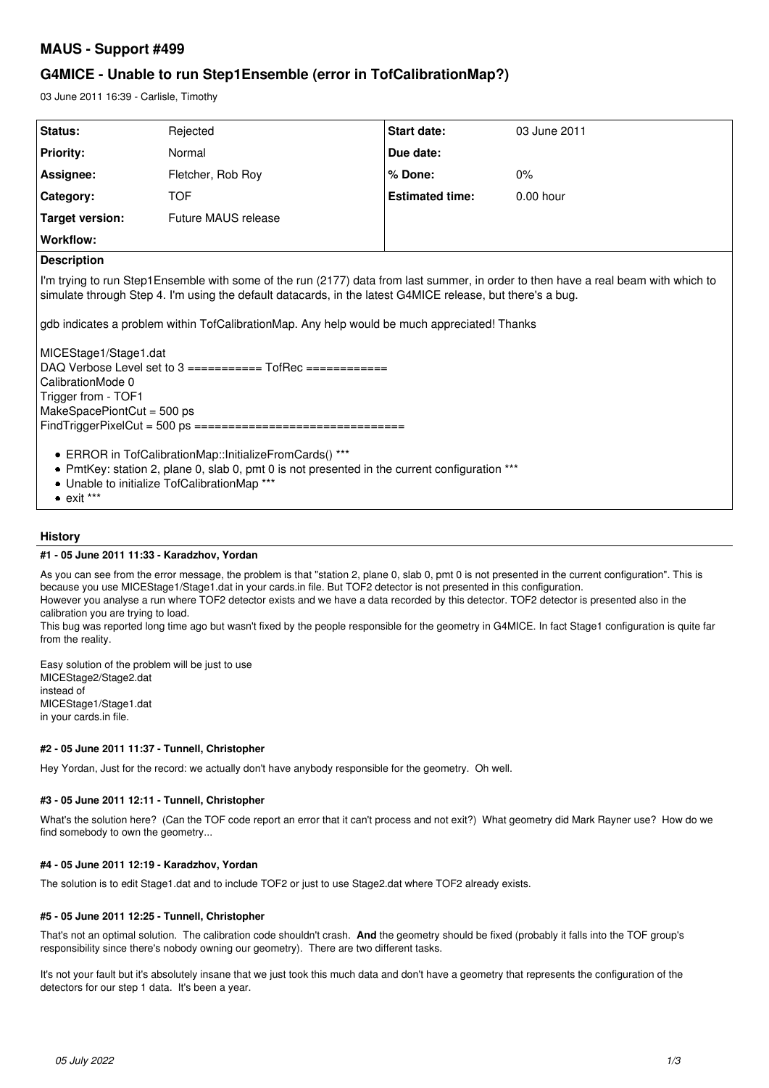# **MAUS - Support #499**

# **G4MICE - Unable to run Step1Ensemble (error in TofCalibrationMap?)**

03 June 2011 16:39 - Carlisle, Timothy

| <b>Status:</b>     | Rejected            | <b>Start date:</b>     | 03 June 2011 |
|--------------------|---------------------|------------------------|--------------|
| <b>Priority:</b>   | Normal              | Due date:              |              |
| Assignee:          | Fletcher, Rob Roy   | % Done:                | 0%           |
| Category:          | <b>TOF</b>          | <b>Estimated time:</b> | $0.00$ hour  |
| Target version:    | Future MAUS release |                        |              |
| Workflow:          |                     |                        |              |
| <b>Description</b> |                     |                        |              |

I'm trying to run Step1Ensemble with some of the run (2177) data from last summer, in order to then have a real beam with which to simulate through Step 4. I'm using the default datacards, in the latest G4MICE release, but there's a bug.

gdb indicates a problem within TofCalibrationMap. Any help would be much appreciated! Thanks

MICEStage1/Stage1.dat DAQ Verbose Level set to 3 =========== TofRec ============ CalibrationMode 0 Trigger from - TOF1 MakeSpacePiontCut = 500 ps FindTriggerPixelCut = 500 ps ===============================

- ERROR in TofCalibrationMap::InitializeFromCards() \*\*\*
- PmtKey: station 2, plane 0, slab 0, pmt 0 is not presented in the current configuration \*\*\*
- Unable to initialize TofCalibrationMap \*\*\*
- $\bullet$  exit \*\*\*

# **History**

#### **#1 - 05 June 2011 11:33 - Karadzhov, Yordan**

As you can see from the error message, the problem is that "station 2, plane 0, slab 0, pmt 0 is not presented in the current configuration". This is because you use MICEStage1/Stage1.dat in your cards.in file. But TOF2 detector is not presented in this configuration.

However you analyse a run where TOF2 detector exists and we have a data recorded by this detector. TOF2 detector is presented also in the calibration you are trying to load.

This bug was reported long time ago but wasn't fixed by the people responsible for the geometry in G4MICE. In fact Stage1 configuration is quite far from the reality.

Easy solution of the problem will be just to use MICEStage2/Stage2.dat instead of MICEStage1/Stage1.dat in your cards.in file.

# **#2 - 05 June 2011 11:37 - Tunnell, Christopher**

Hey Yordan, Just for the record: we actually don't have anybody responsible for the geometry. Oh well.

# **#3 - 05 June 2011 12:11 - Tunnell, Christopher**

What's the solution here? (Can the TOF code report an error that it can't process and not exit?) What geometry did Mark Rayner use? How do we find somebody to own the geometry...

# **#4 - 05 June 2011 12:19 - Karadzhov, Yordan**

The solution is to edit Stage1.dat and to include TOF2 or just to use Stage2.dat where TOF2 already exists.

# **#5 - 05 June 2011 12:25 - Tunnell, Christopher**

That's not an optimal solution. The calibration code shouldn't crash. **And** the geometry should be fixed (probably it falls into the TOF group's responsibility since there's nobody owning our geometry). There are two different tasks.

It's not your fault but it's absolutely insane that we just took this much data and don't have a geometry that represents the configuration of the detectors for our step 1 data. It's been a year.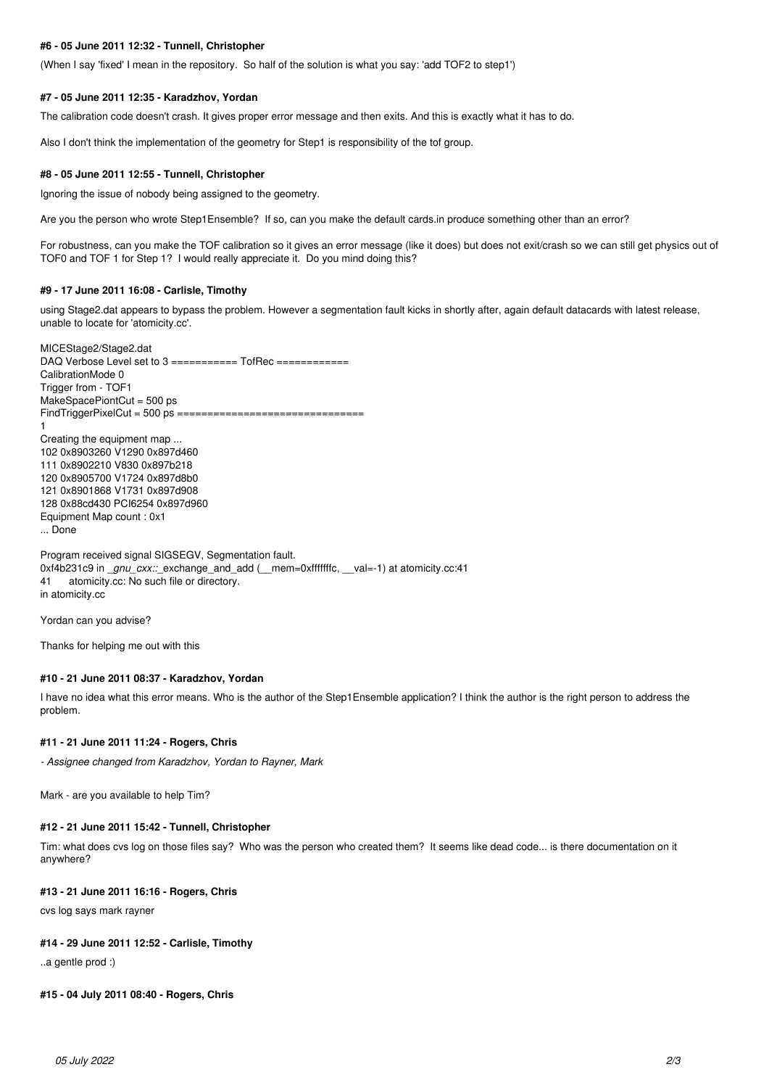## **#6 - 05 June 2011 12:32 - Tunnell, Christopher**

(When I say 'fixed' I mean in the repository. So half of the solution is what you say: 'add TOF2 to step1')

#### **#7 - 05 June 2011 12:35 - Karadzhov, Yordan**

The calibration code doesn't crash. It gives proper error message and then exits. And this is exactly what it has to do.

Also I don't think the implementation of the geometry for Step1 is responsibility of the tof group.

#### **#8 - 05 June 2011 12:55 - Tunnell, Christopher**

Ignoring the issue of nobody being assigned to the geometry.

Are you the person who wrote Step1Ensemble? If so, can you make the default cards.in produce something other than an error?

For robustness, can you make the TOF calibration so it gives an error message (like it does) but does not exit/crash so we can still get physics out of TOF0 and TOF 1 for Step 1? I would really appreciate it. Do you mind doing this?

#### **#9 - 17 June 2011 16:08 - Carlisle, Timothy**

using Stage2.dat appears to bypass the problem. However a segmentation fault kicks in shortly after, again default datacards with latest release, unable to locate for 'atomicity.cc'.

MICEStage2/Stage2.dat DAQ Verbose Level set to 3 =========== TofRec ============ CalibrationMode 0 Trigger from - TOF1 MakeSpacePiontCut = 500 ps FindTriggerPixelCut = 500 ps =============================== 1 Creating the equipment map ... 102 0x8903260 V1290 0x897d460 111 0x8902210 V830 0x897b218 120 0x8905700 V1724 0x897d8b0 121 0x8901868 V1731 0x897d908 128 0x88cd430 PCI6254 0x897d960 Equipment Map count : 0x1 ... Done

Program received signal SIGSEGV, Segmentation fault. 0xf4b231c9 in \_*gnu\_cxx::*\_exchange\_and\_add (\_\_mem=0xfffffffc, \_\_val=-1) at atomicity.cc:41 41 atomicity.cc: No such file or directory. in atomicity.cc

Yordan can you advise?

Thanks for helping me out with this

#### **#10 - 21 June 2011 08:37 - Karadzhov, Yordan**

I have no idea what this error means. Who is the author of the Step1Ensemble application? I think the author is the right person to address the problem.

#### **#11 - 21 June 2011 11:24 - Rogers, Chris**

*- Assignee changed from Karadzhov, Yordan to Rayner, Mark*

Mark - are you available to help Tim?

## **#12 - 21 June 2011 15:42 - Tunnell, Christopher**

Tim: what does cvs log on those files say? Who was the person who created them? It seems like dead code... is there documentation on it anywhere?

#### **#13 - 21 June 2011 16:16 - Rogers, Chris**

cvs log says mark rayner

#### **#14 - 29 June 2011 12:52 - Carlisle, Timothy**

..a gentle prod :)

## **#15 - 04 July 2011 08:40 - Rogers, Chris**